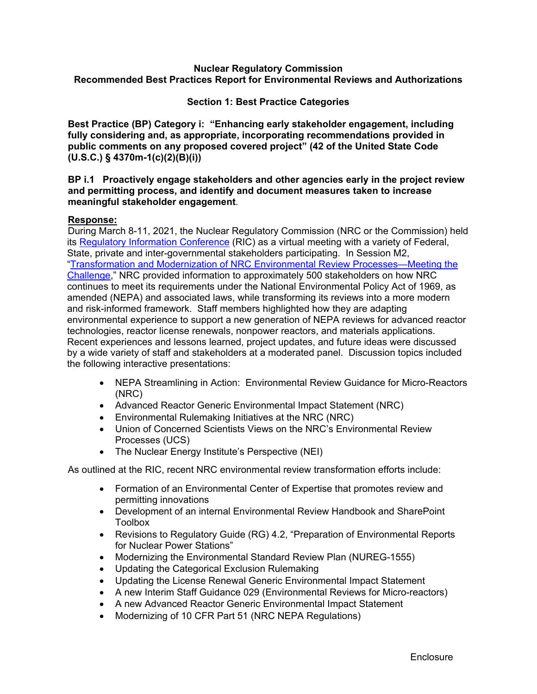#### **Nuclear Regulatory Commission Recommended Best Practices Report for Environmental Reviews and Authorizations**

#### **Section 1: Best Practice Categories**

**Best Practice (BP) Category i: "Enhancing early stakeholder engagement, including fully considering and, as appropriate, incorporating recommendations provided in public comments on any proposed covered project" (42 of the United State Code (U.S.C.) § 4370m-1(c)(2)(B)(i))** 

#### **BP i.1 Proactively engage stakeholders and other agencies early in the project review and permitting process, and identify and document measures taken to increase meaningful stakeholder engagement**.

#### **Response:**

During March 8-11, 2021, the Nuclear Regulatory Commission (NRC or the Commission) held its Regulatory Information Conference (RIC) as a virtual meeting with a variety of Federal, State, private and inter-governmental stakeholders participating. In Session M2, "Transformation and Modernization of NRC Environmental Review Processes—Meeting the Challenge," NRC provided information to approximately 500 stakeholders on how NRC continues to meet its requirements under the National Environmental Policy Act of 1969, as amended (NEPA) and associated laws, while transforming its reviews into a more modern and risk-informed framework. Staff members highlighted how they are adapting environmental experience to support a new generation of NEPA reviews for advanced reactor technologies, reactor license renewals, nonpower reactors, and materials applications. Recent experiences and lessons learned, project updates, and future ideas were discussed by a wide variety of staff and stakeholders at a moderated panel. Discussion topics included the following interactive presentations:

- NEPA Streamlining in Action: Environmental Review Guidance for Micro-Reactors (NRC)
- Advanced Reactor Generic Environmental Impact Statement (NRC)
- Environmental Rulemaking Initiatives at the NRC (NRC)
- Union of Concerned Scientists Views on the NRC's Environmental Review Processes (UCS)
- The Nuclear Energy Institute's Perspective (NEI)

As outlined at the RIC, recent NRC environmental review transformation efforts include:

- Formation of an Environmental Center of Expertise that promotes review and permitting innovations
- Development of an internal Environmental Review Handbook and SharePoint Toolbox
- Revisions to Regulatory Guide (RG) 4.2, "Preparation of Environmental Reports for Nuclear Power Stations"
- Modernizing the Environmental Standard Review Plan (NUREG-1555)
- Updating the Categorical Exclusion Rulemaking
- Updating the License Renewal Generic Environmental Impact Statement
- A new Interim Staff Guidance 029 (Environmental Reviews for Micro-reactors)
- A new Advanced Reactor Generic Environmental Impact Statement
- Modernizing of 10 CFR Part 51 (NRC NEPA Regulations)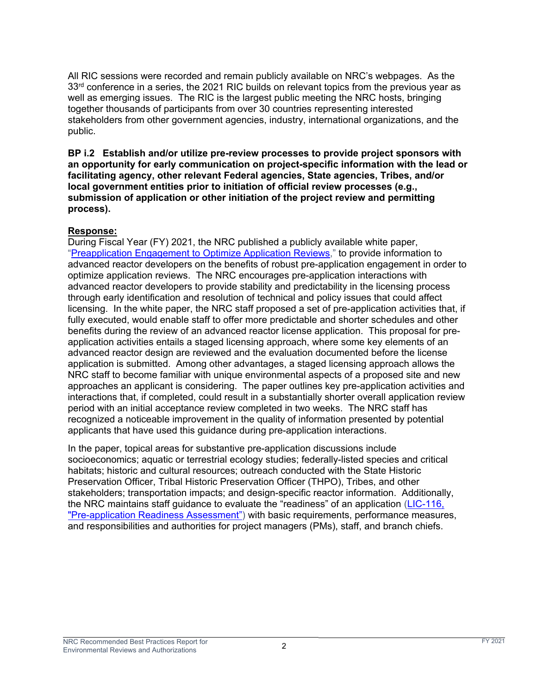All RIC sessions were recorded and remain publicly available on NRC's webpages. As the  $33<sup>rd</sup>$  conference in a series, the 2021 RIC builds on relevant topics from the previous year as well as emerging issues. The RIC is the largest public meeting the NRC hosts, bringing together thousands of participants from over 30 countries representing interested stakeholders from other government agencies, industry, international organizations, and the public.

**BP i.2 Establish and/or utilize pre-review processes to provide project sponsors with an opportunity for early communication on project-specific information with the lead or facilitating agency, other relevant Federal agencies, State agencies, Tribes, and/or local government entities prior to initiation of official review processes (e.g., submission of application or other initiation of the project review and permitting process).** 

# **Response:**

During Fiscal Year (FY) 2021, the NRC published a publicly available white paper, "Preapplication Engagement to Optimize Application Reviews," to provide information to advanced reactor developers on the benefits of robust pre-application engagement in order to optimize application reviews. The NRC encourages pre-application interactions with advanced reactor developers to provide stability and predictability in the licensing process through early identification and resolution of technical and policy issues that could affect licensing. In the white paper, the NRC staff proposed a set of pre-application activities that, if fully executed, would enable staff to offer more predictable and shorter schedules and other benefits during the review of an advanced reactor license application. This proposal for preapplication activities entails a staged licensing approach, where some key elements of an advanced reactor design are reviewed and the evaluation documented before the license application is submitted. Among other advantages, a staged licensing approach allows the NRC staff to become familiar with unique environmental aspects of a proposed site and new approaches an applicant is considering. The paper outlines key pre-application activities and interactions that, if completed, could result in a substantially shorter overall application review period with an initial acceptance review completed in two weeks. The NRC staff has recognized a noticeable improvement in the quality of information presented by potential applicants that have used this guidance during pre-application interactions.

In the paper, topical areas for substantive pre-application discussions include socioeconomics; aquatic or terrestrial ecology studies; federally-listed species and critical habitats; historic and cultural resources; outreach conducted with the State Historic Preservation Officer, Tribal Historic Preservation Officer (THPO), Tribes, and other stakeholders; transportation impacts; and design-specific reactor information. Additionally, the NRC maintains staff guidance to evaluate the "readiness" of an application (LIC-116, "Pre-application Readiness Assessment") with basic requirements, performance measures, and responsibilities and authorities for project managers (PMs), staff, and branch chiefs.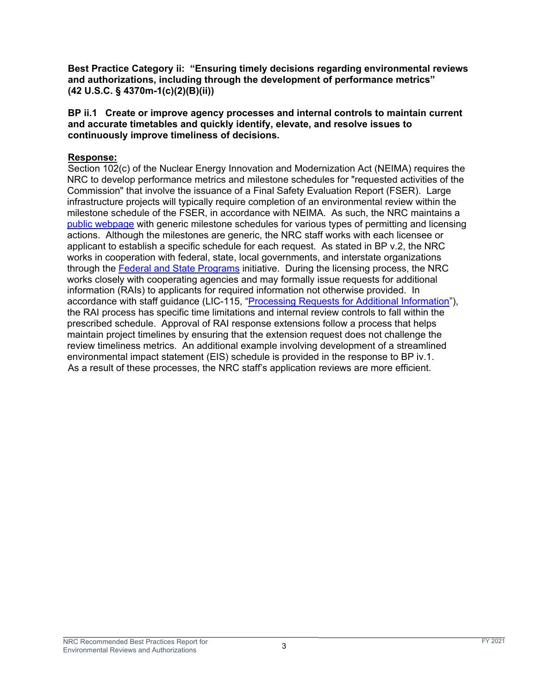**Best Practice Category ii: "Ensuring timely decisions regarding environmental reviews and authorizations, including through the development of performance metrics" (42 U.S.C. § 4370m-1(c)(2)(B)(ii))**

**BP ii.1 Create or improve agency processes and internal controls to maintain current and accurate timetables and quickly identify, elevate, and resolve issues to continuously improve timeliness of decisions.** 

## **Response:**

Section 102(c) of the Nuclear Energy Innovation and Modernization Act (NEIMA) requires the NRC to develop performance metrics and milestone schedules for "requested activities of the Commission" that involve the issuance of a Final Safety Evaluation Report (FSER). Large infrastructure projects will typically require completion of an environmental review within the milestone schedule of the FSER, in accordance with NEIMA. As such, the NRC maintains a public webpage with generic milestone schedules for various types of permitting and licensing actions. Although the milestones are generic, the NRC staff works with each licensee or applicant to establish a specific schedule for each request. As stated in BP v.2, the NRC works in cooperation with federal, state, local governments, and interstate organizations through the Federal and State Programs initiative. During the licensing process, the NRC works closely with cooperating agencies and may formally issue requests for additional information (RAIs) to applicants for required information not otherwise provided. In accordance with staff guidance (LIC-115, "Processing Requests for Additional Information"), the RAI process has specific time limitations and internal review controls to fall within the prescribed schedule. Approval of RAI response extensions follow a process that helps maintain project timelines by ensuring that the extension request does not challenge the review timeliness metrics. An additional example involving development of a streamlined environmental impact statement (EIS) schedule is provided in the response to BP iv.1. As a result of these processes, the NRC staff's application reviews are more efficient.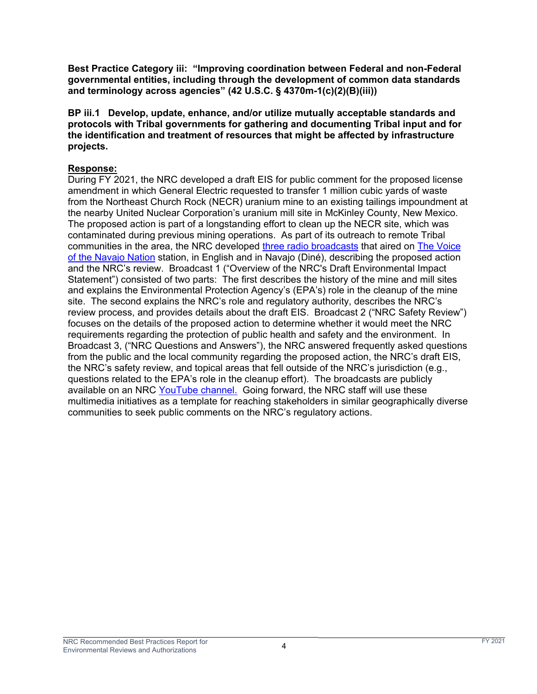**Best Practice Category iii: "Improving coordination between Federal and non-Federal governmental entities, including through the development of common data standards and terminology across agencies" (42 U.S.C. § 4370m-1(c)(2)(B)(iii))**

**BP iii.1 Develop, update, enhance, and/or utilize mutually acceptable standards and protocols with Tribal governments for gathering and documenting Tribal input and for the identification and treatment of resources that might be affected by infrastructure projects.** 

## **Response:**

During FY 2021, the NRC developed a draft EIS for public comment for the proposed license amendment in which General Electric requested to transfer 1 million cubic yards of waste from the Northeast Church Rock (NECR) uranium mine to an existing tailings impoundment at the nearby United Nuclear Corporation's uranium mill site in McKinley County, New Mexico. The proposed action is part of a longstanding effort to clean up the NECR site, which was contaminated during previous mining operations. As part of its outreach to remote Tribal communities in the area, the NRC developed three radio broadcasts that aired on The Voice of the Navajo Nation station, in English and in Navajo (Diné), describing the proposed action and the NRC's review. Broadcast 1 ("Overview of the NRC's Draft Environmental Impact Statement") consisted of two parts: The first describes the history of the mine and mill sites and explains the Environmental Protection Agency's (EPA's) role in the cleanup of the mine site. The second explains the NRC's role and regulatory authority, describes the NRC's review process, and provides details about the draft EIS. Broadcast 2 ("NRC Safety Review") focuses on the details of the proposed action to determine whether it would meet the NRC requirements regarding the protection of public health and safety and the environment. In Broadcast 3, ("NRC Questions and Answers"), the NRC answered frequently asked questions from the public and the local community regarding the proposed action, the NRC's draft EIS, the NRC's safety review, and topical areas that fell outside of the NRC's jurisdiction (e.g., questions related to the EPA's role in the cleanup effort). The broadcasts are publicly available on an NRC YouTube channel. Going forward, the NRC staff will use these multimedia initiatives as a template for reaching stakeholders in similar geographically diverse communities to seek public comments on the NRC's regulatory actions.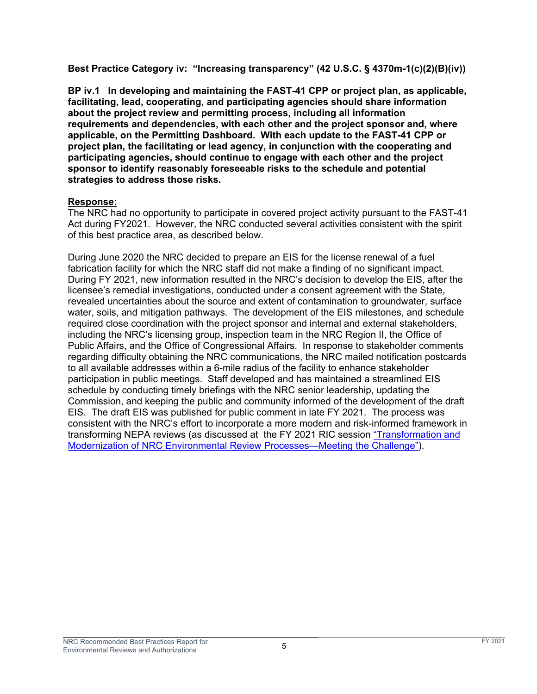**Best Practice Category iv: "Increasing transparency" (42 U.S.C. § 4370m-1(c)(2)(B)(iv))** 

**BP iv.1 In developing and maintaining the FAST-41 CPP or project plan, as applicable, facilitating, lead, cooperating, and participating agencies should share information about the project review and permitting process, including all information requirements and dependencies, with each other and the project sponsor and, where applicable, on the Permitting Dashboard. With each update to the FAST-41 CPP or project plan, the facilitating or lead agency, in conjunction with the cooperating and participating agencies, should continue to engage with each other and the project sponsor to identify reasonably foreseeable risks to the schedule and potential strategies to address those risks.** 

# **Response:**

The NRC had no opportunity to participate in covered project activity pursuant to the FAST-41 Act during FY2021. However, the NRC conducted several activities consistent with the spirit of this best practice area, as described below.

During June 2020 the NRC decided to prepare an EIS for the license renewal of a fuel fabrication facility for which the NRC staff did not make a finding of no significant impact. During FY 2021, new information resulted in the NRC's decision to develop the EIS, after the licensee's remedial investigations, conducted under a consent agreement with the State, revealed uncertainties about the source and extent of contamination to groundwater, surface water, soils, and mitigation pathways. The development of the EIS milestones, and schedule required close coordination with the project sponsor and internal and external stakeholders, including the NRC's licensing group, inspection team in the NRC Region II, the Office of Public Affairs, and the Office of Congressional Affairs. In response to stakeholder comments regarding difficulty obtaining the NRC communications, the NRC mailed notification postcards to all available addresses within a 6-mile radius of the facility to enhance stakeholder participation in public meetings. Staff developed and has maintained a streamlined EIS schedule by conducting timely briefings with the NRC senior leadership, updating the Commission, and keeping the public and community informed of the development of the draft EIS. The draft EIS was published for public comment in late FY 2021. The process was consistent with the NRC's effort to incorporate a more modern and risk-informed framework in transforming NEPA reviews (as discussed at the FY 2021 RIC session "Transformation and Modernization of NRC Environmental Review Processes—Meeting the Challenge").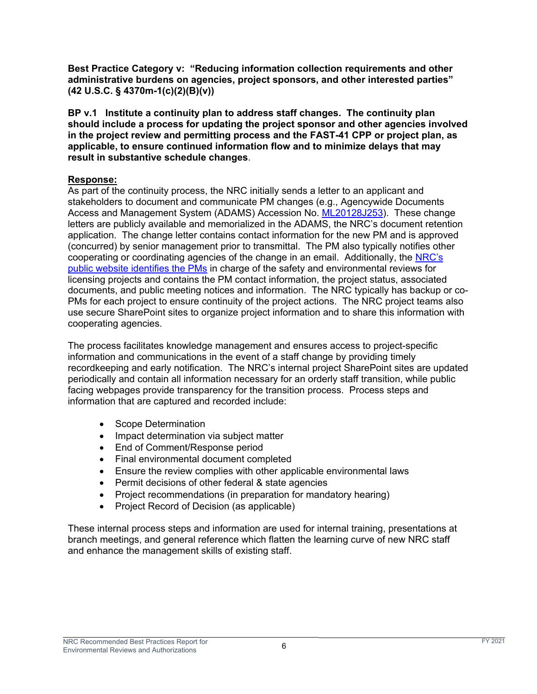**Best Practice Category v: "Reducing information collection requirements and other administrative burdens on agencies, project sponsors, and other interested parties" (42 U.S.C. § 4370m-1(c)(2)(B)(v))** 

**BP v.1 Institute a continuity plan to address staff changes. The continuity plan should include a process for updating the project sponsor and other agencies involved in the project review and permitting process and the FAST-41 CPP or project plan, as applicable, to ensure continued information flow and to minimize delays that may result in substantive schedule changes**.

# **Response:**

As part of the continuity process, the NRC initially sends a letter to an applicant and stakeholders to document and communicate PM changes (e.g., Agencywide Documents Access and Management System (ADAMS) Accession No. ML20128J253). These change letters are publicly available and memorialized in the ADAMS, the NRC's document retention application. The change letter contains contact information for the new PM and is approved (concurred) by senior management prior to transmittal. The PM also typically notifies other cooperating or coordinating agencies of the change in an email. Additionally, the NRC's public website identifies the PMs in charge of the safety and environmental reviews for licensing projects and contains the PM contact information, the project status, associated documents, and public meeting notices and information. The NRC typically has backup or co-PMs for each project to ensure continuity of the project actions. The NRC project teams also use secure SharePoint sites to organize project information and to share this information with cooperating agencies.

The process facilitates knowledge management and ensures access to project-specific information and communications in the event of a staff change by providing timely recordkeeping and early notification. The NRC's internal project SharePoint sites are updated periodically and contain all information necessary for an orderly staff transition, while public facing webpages provide transparency for the transition process. Process steps and information that are captured and recorded include:

- Scope Determination
- Impact determination via subject matter
- End of Comment/Response period
- Final environmental document completed
- Ensure the review complies with other applicable environmental laws
- Permit decisions of other federal & state agencies
- Project recommendations (in preparation for mandatory hearing)
- Project Record of Decision (as applicable)

These internal process steps and information are used for internal training, presentations at branch meetings, and general reference which flatten the learning curve of new NRC staff and enhance the management skills of existing staff.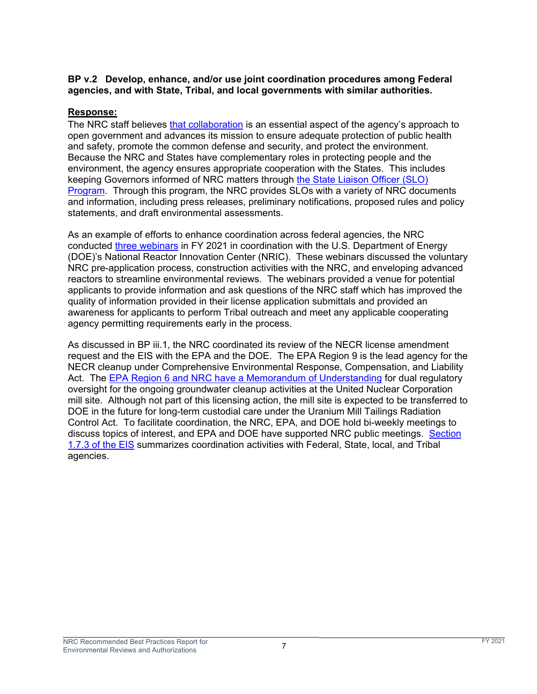## **BP v.2 Develop, enhance, and/or use joint coordination procedures among Federal agencies, and with State, Tribal, and local governments with similar authorities.**

# **Response:**

The NRC staff believes that collaboration is an essential aspect of the agency's approach to open government and advances its mission to ensure adequate protection of public health and safety, promote the common defense and security, and protect the environment. Because the NRC and States have complementary roles in protecting people and the environment, the agency ensures appropriate cooperation with the States. This includes keeping Governors informed of NRC matters through the State Liaison Officer (SLO) Program. Through this program, the NRC provides SLOs with a variety of NRC documents and information, including press releases, preliminary notifications, proposed rules and policy statements, and draft environmental assessments.

As an example of efforts to enhance coordination across federal agencies, the NRC conducted three webinars in FY 2021 in coordination with the U.S. Department of Energy (DOE)'s National Reactor Innovation Center (NRIC). These webinars discussed the voluntary NRC pre-application process, construction activities with the NRC, and enveloping advanced reactors to streamline environmental reviews. The webinars provided a venue for potential applicants to provide information and ask questions of the NRC staff which has improved the quality of information provided in their license application submittals and provided an awareness for applicants to perform Tribal outreach and meet any applicable cooperating agency permitting requirements early in the process.

As discussed in BP iii.1, the NRC coordinated its review of the NECR license amendment request and the EIS with the EPA and the DOE. The EPA Region 9 is the lead agency for the NECR cleanup under Comprehensive Environmental Response, Compensation, and Liability Act. The EPA Region 6 and NRC have a Memorandum of Understanding for dual regulatory oversight for the ongoing groundwater cleanup activities at the United Nuclear Corporation mill site. Although not part of this licensing action, the mill site is expected to be transferred to DOE in the future for long-term custodial care under the Uranium Mill Tailings Radiation Control Act. To facilitate coordination, the NRC, EPA, and DOE hold bi-weekly meetings to discuss topics of interest, and EPA and DOE have supported NRC public meetings. Section 1.7.3 of the EIS summarizes coordination activities with Federal, State, local, and Tribal agencies.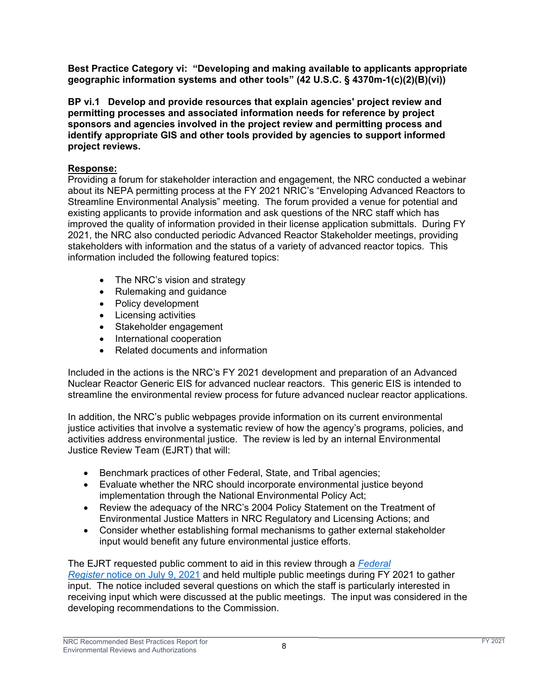**Best Practice Category vi: "Developing and making available to applicants appropriate geographic information systems and other tools" (42 U.S.C. § 4370m-1(c)(2)(B)(vi))** 

**BP vi.1 Develop and provide resources that explain agencies' project review and permitting processes and associated information needs for reference by project sponsors and agencies involved in the project review and permitting process and identify appropriate GIS and other tools provided by agencies to support informed project reviews.** 

# **Response:**

Providing a forum for stakeholder interaction and engagement, the NRC conducted a webinar about its NEPA permitting process at the FY 2021 NRIC's "Enveloping Advanced Reactors to Streamline Environmental Analysis" meeting. The forum provided a venue for potential and existing applicants to provide information and ask questions of the NRC staff which has improved the quality of information provided in their license application submittals. During FY 2021, the NRC also conducted periodic Advanced Reactor Stakeholder meetings, providing stakeholders with information and the status of a variety of advanced reactor topics. This information included the following featured topics:

- The NRC's vision and strategy
- Rulemaking and guidance
- Policy development
- Licensing activities
- Stakeholder engagement
- International cooperation
- Related documents and information

Included in the actions is the NRC's FY 2021 development and preparation of an Advanced Nuclear Reactor Generic EIS for advanced nuclear reactors. This generic EIS is intended to streamline the environmental review process for future advanced nuclear reactor applications.

In addition, the NRC's public webpages provide information on its current environmental justice activities that involve a systematic review of how the agency's programs, policies, and activities address environmental justice. The review is led by an internal Environmental Justice Review Team (EJRT) that will:

- Benchmark practices of other Federal, State, and Tribal agencies;
- Evaluate whether the NRC should incorporate environmental justice beyond implementation through the National Environmental Policy Act;
- Review the adequacy of the NRC's 2004 Policy Statement on the Treatment of Environmental Justice Matters in NRC Regulatory and Licensing Actions; and
- Consider whether establishing formal mechanisms to gather external stakeholder input would benefit any future environmental justice efforts.

The EJRT requested public comment to aid in this review through a *Federal Register* notice on July 9, 2021 and held multiple public meetings during FY 2021 to gather input. The notice included several questions on which the staff is particularly interested in receiving input which were discussed at the public meetings. The input was considered in the developing recommendations to the Commission.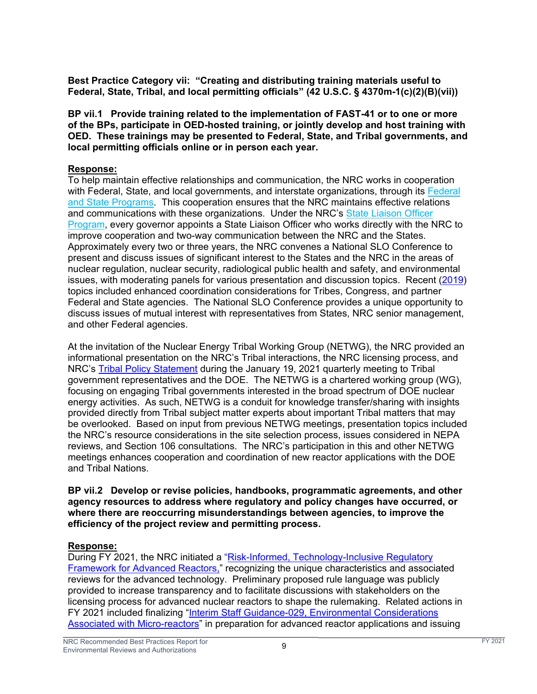**Best Practice Category vii: "Creating and distributing training materials useful to Federal, State, Tribal, and local permitting officials" (42 U.S.C. § 4370m-1(c)(2)(B)(vii))** 

**BP vii.1 Provide training related to the implementation of FAST-41 or to one or more of the BPs, participate in OED-hosted training, or jointly develop and host training with OED. These trainings may be presented to Federal, State, and Tribal governments, and local permitting officials online or in person each year.** 

## **Response:**

To help maintain effective relationships and communication, the NRC works in cooperation with Federal, State, and local governments, and interstate organizations, through its Federal and State Programs. This cooperation ensures that the NRC maintains effective relations and communications with these organizations. Under the NRC's State Liaison Officer Program, every governor appoints a State Liaison Officer who works directly with the NRC to improve cooperation and two-way communication between the NRC and the States. Approximately every two or three years, the NRC convenes a National SLO Conference to present and discuss issues of significant interest to the States and the NRC in the areas of nuclear regulation, nuclear security, radiological public health and safety, and environmental issues, with moderating panels for various presentation and discussion topics. Recent (2019) topics included enhanced coordination considerations for Tribes, Congress, and partner Federal and State agencies. The National SLO Conference provides a unique opportunity to discuss issues of mutual interest with representatives from States, NRC senior management, and other Federal agencies.

At the invitation of the Nuclear Energy Tribal Working Group (NETWG), the NRC provided an informational presentation on the NRC's Tribal interactions, the NRC licensing process, and NRC's Tribal Policy Statement during the January 19, 2021 quarterly meeting to Tribal government representatives and the DOE. The NETWG is a chartered working group (WG), focusing on engaging Tribal governments interested in the broad spectrum of DOE nuclear energy activities. As such, NETWG is a conduit for knowledge transfer/sharing with insights provided directly from Tribal subject matter experts about important Tribal matters that may be overlooked. Based on input from previous NETWG meetings, presentation topics included the NRC's resource considerations in the site selection process, issues considered in NEPA reviews, and Section 106 consultations. The NRC's participation in this and other NETWG meetings enhances cooperation and coordination of new reactor applications with the DOE and Tribal Nations.

#### **BP vii.2 Develop or revise policies, handbooks, programmatic agreements, and other agency resources to address where regulatory and policy changes have occurred, or where there are reoccurring misunderstandings between agencies, to improve the efficiency of the project review and permitting process.**

# **Response:**

During FY 2021, the NRC initiated a "Risk-Informed, Technology-Inclusive Regulatory **Framework for Advanced Reactors,"** recognizing the unique characteristics and associated reviews for the advanced technology. Preliminary proposed rule language was publicly provided to increase transparency and to facilitate discussions with stakeholders on the licensing process for advanced nuclear reactors to shape the rulemaking. Related actions in FY 2021 included finalizing "Interim Staff Guidance-029, Environmental Considerations Associated with Micro-reactors" in preparation for advanced reactor applications and issuing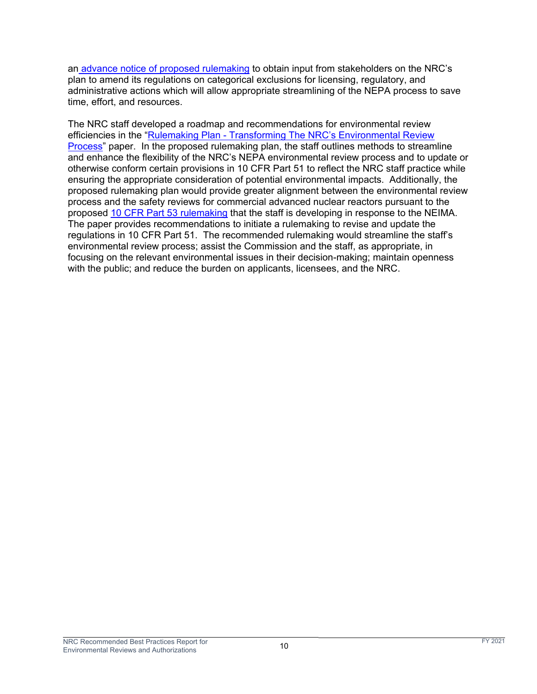an advance notice of proposed rulemaking to obtain input from stakeholders on the NRC's plan to amend its regulations on categorical exclusions for licensing, regulatory, and administrative actions which will allow appropriate streamlining of the NEPA process to save time, effort, and resources.

The NRC staff developed a roadmap and recommendations for environmental review efficiencies in the "Rulemaking Plan - Transforming The NRC's Environmental Review Process" paper. In the proposed rulemaking plan, the staff outlines methods to streamline and enhance the flexibility of the NRC's NEPA environmental review process and to update or otherwise conform certain provisions in 10 CFR Part 51 to reflect the NRC staff practice while ensuring the appropriate consideration of potential environmental impacts. Additionally, the proposed rulemaking plan would provide greater alignment between the environmental review process and the safety reviews for commercial advanced nuclear reactors pursuant to the proposed 10 CFR Part 53 rulemaking that the staff is developing in response to the NEIMA. The paper provides recommendations to initiate a rulemaking to revise and update the regulations in 10 CFR Part 51. The recommended rulemaking would streamline the staff's environmental review process; assist the Commission and the staff, as appropriate, in focusing on the relevant environmental issues in their decision-making; maintain openness with the public; and reduce the burden on applicants, licensees, and the NRC.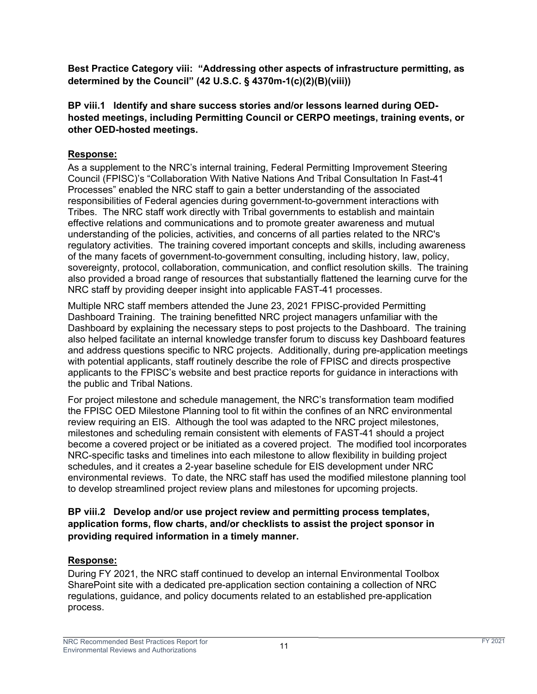**Best Practice Category viii: "Addressing other aspects of infrastructure permitting, as determined by the Council" (42 U.S.C. § 4370m-1(c)(2)(B)(viii))** 

# **BP viii.1 Identify and share success stories and/or lessons learned during OEDhosted meetings, including Permitting Council or CERPO meetings, training events, or other OED-hosted meetings.**

# **Response:**

As a supplement to the NRC's internal training, Federal Permitting Improvement Steering Council (FPISC)'s "Collaboration With Native Nations And Tribal Consultation In Fast-41 Processes" enabled the NRC staff to gain a better understanding of the associated responsibilities of Federal agencies during government-to-government interactions with Tribes. The NRC staff work directly with Tribal governments to establish and maintain effective relations and communications and to promote greater awareness and mutual understanding of the policies, activities, and concerns of all parties related to the NRC's regulatory activities. The training covered important concepts and skills, including awareness of the many facets of government-to-government consulting, including history, law, policy, sovereignty, protocol, collaboration, communication, and conflict resolution skills. The training also provided a broad range of resources that substantially flattened the learning curve for the NRC staff by providing deeper insight into applicable FAST-41 processes.

Multiple NRC staff members attended the June 23, 2021 FPISC-provided Permitting Dashboard Training. The training benefitted NRC project managers unfamiliar with the Dashboard by explaining the necessary steps to post projects to the Dashboard. The training also helped facilitate an internal knowledge transfer forum to discuss key Dashboard features and address questions specific to NRC projects. Additionally, during pre-application meetings with potential applicants, staff routinely describe the role of FPISC and directs prospective applicants to the FPISC's website and best practice reports for guidance in interactions with the public and Tribal Nations.

For project milestone and schedule management, the NRC's transformation team modified the FPISC OED Milestone Planning tool to fit within the confines of an NRC environmental review requiring an EIS. Although the tool was adapted to the NRC project milestones, milestones and scheduling remain consistent with elements of FAST-41 should a project become a covered project or be initiated as a covered project. The modified tool incorporates NRC-specific tasks and timelines into each milestone to allow flexibility in building project schedules, and it creates a 2-year baseline schedule for EIS development under NRC environmental reviews. To date, the NRC staff has used the modified milestone planning tool to develop streamlined project review plans and milestones for upcoming projects.

# **BP viii.2 Develop and/or use project review and permitting process templates, application forms, flow charts, and/or checklists to assist the project sponsor in providing required information in a timely manner.**

# **Response:**

During FY 2021, the NRC staff continued to develop an internal Environmental Toolbox SharePoint site with a dedicated pre-application section containing a collection of NRC regulations, guidance, and policy documents related to an established pre-application process.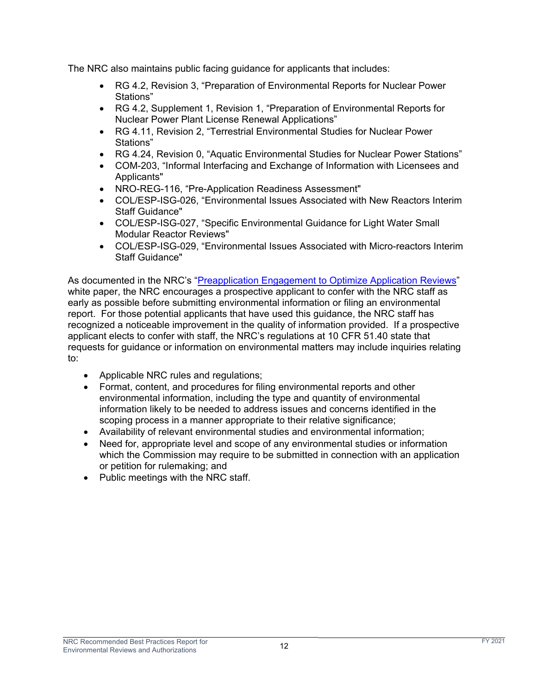The NRC also maintains public facing guidance for applicants that includes:

- RG 4.2, Revision 3, "Preparation of Environmental Reports for Nuclear Power Stations"
- RG 4.2, Supplement 1, Revision 1, "Preparation of Environmental Reports for Nuclear Power Plant License Renewal Applications"
- RG 4.11, Revision 2, "Terrestrial Environmental Studies for Nuclear Power Stations"
- RG 4.24, Revision 0, "Aquatic Environmental Studies for Nuclear Power Stations"
- COM-203, "Informal Interfacing and Exchange of Information with Licensees and Applicants"
- NRO-REG-116, "Pre-Application Readiness Assessment"
- COL/ESP-ISG-026, "Environmental Issues Associated with New Reactors Interim Staff Guidance"
- COL/ESP-ISG-027, "Specific Environmental Guidance for Light Water Small Modular Reactor Reviews"
- COL/ESP-ISG-029, "Environmental Issues Associated with Micro-reactors Interim Staff Guidance"

As documented in the NRC's "Preapplication Engagement to Optimize Application Reviews" white paper, the NRC encourages a prospective applicant to confer with the NRC staff as early as possible before submitting environmental information or filing an environmental report. For those potential applicants that have used this guidance, the NRC staff has recognized a noticeable improvement in the quality of information provided. If a prospective applicant elects to confer with staff, the NRC's regulations at 10 CFR 51.40 state that requests for guidance or information on environmental matters may include inquiries relating to:

- Applicable NRC rules and regulations;
- Format, content, and procedures for filing environmental reports and other environmental information, including the type and quantity of environmental information likely to be needed to address issues and concerns identified in the scoping process in a manner appropriate to their relative significance;
- Availability of relevant environmental studies and environmental information;
- Need for, appropriate level and scope of any environmental studies or information which the Commission may require to be submitted in connection with an application or petition for rulemaking; and
- Public meetings with the NRC staff.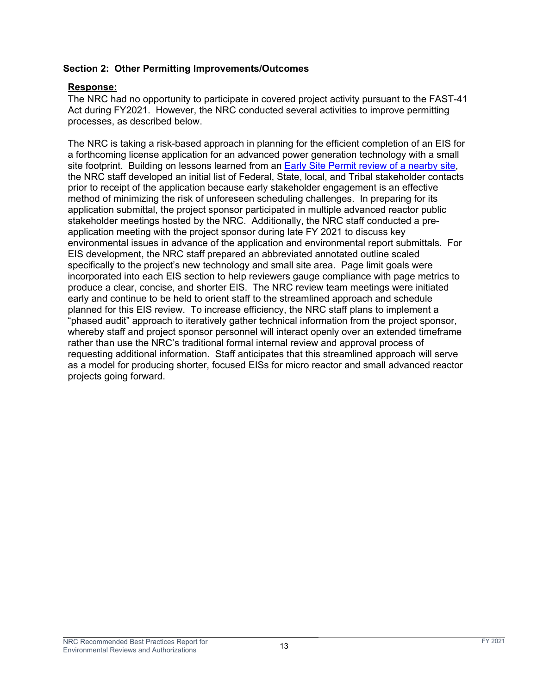## **Section 2: Other Permitting Improvements/Outcomes**

#### **Response:**

The NRC had no opportunity to participate in covered project activity pursuant to the FAST-41 Act during FY2021. However, the NRC conducted several activities to improve permitting processes, as described below.

The NRC is taking a risk-based approach in planning for the efficient completion of an EIS for a forthcoming license application for an advanced power generation technology with a small site footprint. Building on lessons learned from an Early Site Permit review of a nearby site, the NRC staff developed an initial list of Federal, State, local, and Tribal stakeholder contacts prior to receipt of the application because early stakeholder engagement is an effective method of minimizing the risk of unforeseen scheduling challenges. In preparing for its application submittal, the project sponsor participated in multiple advanced reactor public stakeholder meetings hosted by the NRC. Additionally, the NRC staff conducted a preapplication meeting with the project sponsor during late FY 2021 to discuss key environmental issues in advance of the application and environmental report submittals. For EIS development, the NRC staff prepared an abbreviated annotated outline scaled specifically to the project's new technology and small site area. Page limit goals were incorporated into each EIS section to help reviewers gauge compliance with page metrics to produce a clear, concise, and shorter EIS. The NRC review team meetings were initiated early and continue to be held to orient staff to the streamlined approach and schedule planned for this EIS review. To increase efficiency, the NRC staff plans to implement a "phased audit" approach to iteratively gather technical information from the project sponsor, whereby staff and project sponsor personnel will interact openly over an extended timeframe rather than use the NRC's traditional formal internal review and approval process of requesting additional information. Staff anticipates that this streamlined approach will serve as a model for producing shorter, focused EISs for micro reactor and small advanced reactor projects going forward.